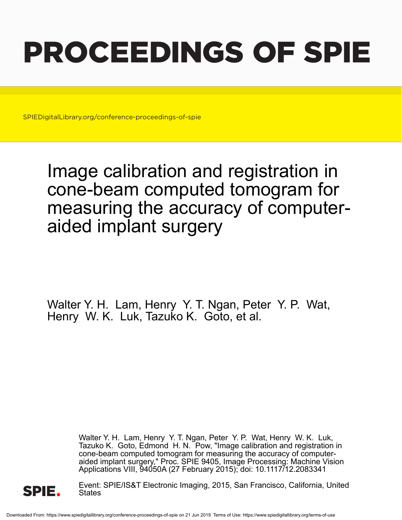# PROCEEDINGS OF SPIE

SPIEDigitalLibrary.org/conference-proceedings-of-spie

Image calibration and registration in cone-beam computed tomogram for measuring the accuracy of computeraided implant surgery

Walter Y. H. Lam, Henry Y. T. Ngan, Peter Y. P. Wat, Henry W. K. Luk, Tazuko K. Goto, et al.

> Walter Y. H. Lam, Henry Y. T. Ngan, Peter Y. P. Wat, Henry W. K. Luk, Tazuko K. Goto, Edmond H. N. Pow, "Image calibration and registration in cone-beam computed tomogram for measuring the accuracy of computeraided implant surgery," Proc. SPIE 9405, Image Processing: Machine Vision Applications VIII, 94050A (27 February 2015); doi: 10.1117/12.2083341



Event: SPIE/IS&T Electronic Imaging, 2015, San Francisco, California, United **States**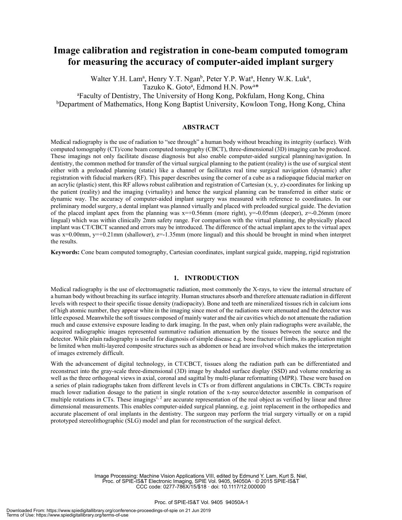## **Image calibration and registration in cone-beam computed tomogram for measuring the accuracy of computer-aided implant surgery**

Walter Y.H. Lam<sup>a</sup>, Henry Y.T. Ngan<sup>b</sup>, Peter Y.P. Wat<sup>a</sup>, Henry W.K. Luk<sup>a</sup>, Tazuko K. Goto<sup>a</sup>, Edmond H.N. Pow<sup>a</sup>

Tazuko K. Goto<sup>a</sup>, Edmond H.N. Pow<sup>a\*</sup><br><sup>a</sup>Faculty of Dentistry, The University of Hong Kong, Pokfulam, Hong Kong, China

<sup>b</sup>Department of Mathematics, Hong Kong Baptist University, Kowloon Tong, Hong Kong, China

#### **ABSTRACT**

Medical radiography is the use of radiation to "see through" a human body without breaching its integrity (surface). With computed tomography (CT)/cone beam computed tomography (CBCT), three-dimensional (3D) imaging can be produced. These imagings not only facilitate disease diagnosis but also enable computer-aided surgical planning/navigation. In dentistry, the common method for transfer of the virtual surgical planning to the patient (reality) is the use of surgical stent either with a preloaded planning (static) like a channel or facilitates real time surgical navigation (dynamic) after registration with fiducial markers (RF). This paper describes using the corner of a cube as a radiopaque fiducial marker on an acrylic (plastic) stent, this RF allows robust calibration and registration of Cartesian  $(x, y, z)$ -coordinates for linking up the patient (reality) and the imaging (virtuality) and hence the surgical planning can be transferred in either static or dynamic way. The accuracy of computer-aided implant surgery was measured with reference to coordinates. In our preliminary model surgery, a dental implant was planned virtually and placed with preloaded surgical guide. The deviation of the placed implant apex from the planning was  $x=+0.56$ mm (more right),  $y=-0.05$ mm (deeper),  $z=-0.26$ mm (more lingual) which was within clinically 2mm safety range. For comparison with the virtual planning, the physically placed implant was CT/CBCT scanned and errors may be introduced. The difference of the actual implant apex to the virtual apex was x=0.00mm, y=+0.21mm (shallower), z=-1.35mm (more lingual) and this should be brought in mind when interpret the results.

**Keywords:** Cone beam computed tomography, Cartesian coordinates, implant surgical guide, mapping, rigid registration

#### **1. INTRODUCTION**

Medical radiography is the use of electromagnetic radiation, most commonly the X-rays, to view the internal structure of a human body without breaching its surface integrity. Human structures absorb and therefore attenuate radiation in different levels with respect to their specific tissue density (radiopacity). Bone and teeth are mineralized tissues rich in calcium ions of high atomic number, they appear white in the imaging since most of the radiations were attenuated and the detector was little exposed. Meanwhile the soft tissues composed of mainly water and the air cavities which do not attenuate the radiation much and cause extensive exposure leading to dark imaging. In the past, when only plain radiographs were available, the acquired radiographic images represented summative radiation attenuation by the tissues between the source and the detector. While plain radiography is useful for diagnosis of simple disease e.g. bone fracture of limbs, its application might be limited when multi-layered composite structures such as abdomen or head are involved which makes the interpretation of images extremely difficult.

With the advancement of digital technology, in CT/CBCT, tissues along the radiation path can be differentiated and reconstruct into the gray-scale three-dimensional (3D) image by shaded surface display (SSD) and volume rendering as well as the three orthogonal views in axial, coronal and sagittal by multi-planar reformatting (MPR). These were based on a series of plain radiographs taken from different levels in CTs or from different angulations in CBCTs. CBCTs require much lower radiation dosage to the patient in single rotation of the x-ray source/detector assemble in comparison of multiple rotations in CTs. These imagings<sup>1, 2</sup> are accurate representation of the real object as verified by linear and three dimensional measurements. This enables computer-aided surgical planning, e.g. joint replacement in the orthopedics and accurate placement of oral implants in the dentistry. The surgeon may perform the trial surgery virtually or on a rapid prototyped stereolithographic (SLG) model and plan for reconstruction of the surgical defect.

> Image Processing: Machine Vision Applications VIII, edited by Edmund Y. Lam, Kurt S. Niel, Proc. of SPIE-IS&T Electronic Imaging, SPIE Vol. 9405, 94050A · © 2015 SPIE-IS&T CCC code: 0277-786X/15/\$18 · doi: 10.1117/12.000000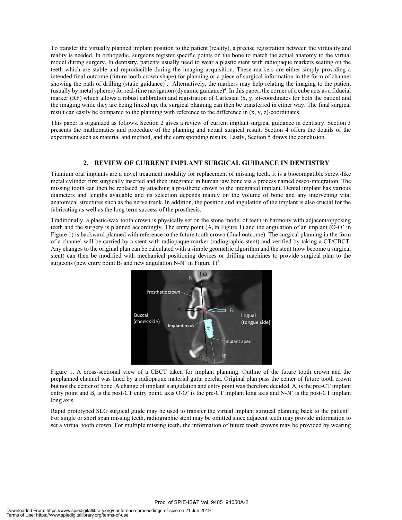To transfer the virtually planned implant position to the patient (reality), a precise registration between the virtuality and reality is needed. In orthopedic, surgeons register specific points on the bone to match the actual anatomy to the virtual model during surgery. In dentistry, patients usually need to wear a plastic stent with radiopaque markers seating on the teeth which are stable and reproducible during the imaging acquisition. These markers are either simply providing a intended final outcome (future tooth crown shape) for planning or a piece of surgical information in the form of channel showing the path of drilling (static guidance)<sup>3</sup>. Alternatively, the markers may help relating the imaging to the patient (usually by metal spheres) for real-time navigation (dynamic guidance)<sup>4</sup>. In this paper, the corner of a cube acts as a fiducial marker (RF) which allows a robust calibration and registration of Cartesian (x, y, z)-coordinates for both the patient and the imaging while they are being linked up, the surgical planning can then be transferred in either way. The final surgical result can easily be compared to the planning with reference to the difference in (x, y, z)-coordinates.

This paper is organized as follows. Section 2 gives a review of current implant surgical guidance in dentistry. Section 3 presents the mathematics and procedure of the planning and actual surgical result. Section 4 offers the details of the experiment such as material and method, and the corresponding results. Lastly, Section 5 draws the conclusion.

#### **2. REVIEW OF CURRENT IMPLANT SURGICAL GUIDANCE IN DENTISTRY**

Titanium oral implants are a novel treatment modality for replacement of missing teeth. It is a biocompatible screw-like metal cylinder first surgically inserted and then integrated in human jaw bone via a process named osseo-integration. The missing tooth can then be replaced by attaching a prosthetic crown to the integrated implant. Dental implant has various diameters and lengths available and its selection depends mainly on the volume of bone and any intervening vital anatomical structures such as the nerve trunk. In addition, the position and angulation of the implant is also crucial for the fabricating as well as the long term success of the prosthesis.

Traditionally, a plastic/wax tooth crown is physically set on the stone model of teeth in harmony with adjacent/opposing teeth and the surgery is planned accordingly. The entry point (Ar in Figure 1) and the angulation of an implant (O-O' in Figure 1) is backward planned with reference to the future tooth crown (final outcome). The surgical planning in the form of a channel will be carried by a stent with radiopaque marker (radiographic stent) and verified by taking a CT/CBCT. Any changes to the original plan can be calculated with a simple geometric algorithm and the stent (now become a surgical stent) can then be modified with mechanical positioning devices or drilling machines to provide surgical plan to the surgeons (new entry point  $B_r$  and new angulation N-N' in Figure 1)<sup>3</sup>.



Figure 1. A cross-sectional view of a CBCT taken for implant planning. Outline of the future tooth crown and the preplanned channel was lined by a radiopaque material gutta percha. Original plan pass the center of future tooth crown but not the center of bone. A change of implant's angulation and entry point was therefore decided. Ar is the pre-CT implant entry point and  $B_r$  is the post-CT entry point; axis O-O' is the pre-CT implant long axis and N-N' is the post-CT implant long axis.

Rapid prototyped SLG surgical guide may be used to transfer the virtual implant surgical planning back to the patient<sup>5</sup>. For single or short span missing teeth, radiographic stent may be omitted since adjacent teeth may provide information to set a virtual tooth crown. For multiple missing teeth, the information of future tooth crowns may be provided by wearing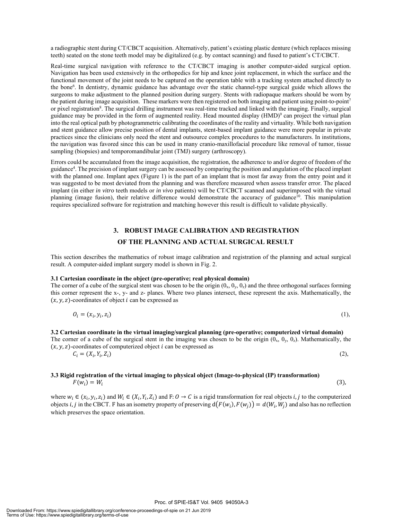a radiographic stent during CT/CBCT acquisition. Alternatively, patient's existing plastic denture (which replaces missing teeth) seated on the stone teeth model may be digitalized (e.g. by contact scanning) and fused to patient's CT/CBCT.

Real-time surgical navigation with reference to the CT/CBCT imaging is another computer-aided surgical option. Navigation has been used extensively in the orthopedics for hip and knee joint replacement, in which the surface and the functional movement of the joint needs to be captured on the operation table with a tracking system attached directly to the bone6 . In dentistry, dynamic guidance has advantage over the static channel-type surgical guide which allows the surgeons to make adjustment to the planned position during surgery. Stents with radiopaque markers should be worn by the patient during image acquisition. These markers were then registered on both imaging and patient using point-to-point<sup>7</sup> or pixel registration<sup>8</sup>. The surgical drilling instrument was real-time tracked and linked with the imaging. Finally, surgical guidance may be provided in the form of augmented reality. Head mounted display (HMD)<sup>9</sup> can project the virtual plan into the real optical path by photogrammetric calibrating the coordinates of the reality and virtuality. While both navigation and stent guidance allow precise position of dental implants, stent-based implant guidance were more popular in private practices since the clinicians only need the stent and outsource complex procedures to the manufacturers. In institutions, the navigation was favored since this can be used in many cranio-maxillofacial procedure like removal of tumor, tissue sampling (biopsies) and temporomandibular joint (TMJ) surgery (arthroscopy).

Errors could be accumulated from the image acquisition, the registration, the adherence to and/or degree of freedom of the guidance4 . The precision of implant surgery can be assessed by comparing the position and angulation of the placed implant with the planned one. Implant apex (Figure 1) is the part of an implant that is most far away from the entry point and it was suggested to be most deviated from the planning and was therefore measured when assess transfer error. The placed implant (in either *in vitro* teeth models or *in vivo* patients) will be CT/CBCT scanned and superimposed with the virtual planning (image fusion), their relative difference would demonstrate the accuracy of guidance<sup>10</sup>. This manipulation requires specialized software for registration and matching however this result is difficult to validate physically.

### **3. ROBUST IMAGE CALIBRATION AND REGISTRATION OF THE PLANNING AND ACTUAL SURGICAL RESULT**

This section describes the mathematics of robust image calibration and registration of the planning and actual surgical result. A computer-aided implant surgery model is shown in Fig. 2.

#### **3.1 Cartesian coordinate in the object (pre-operative; real physical domain)**

The corner of a cube of the surgical stent was chosen to be the origin  $(0_x, 0_y, 0_z)$  and the three orthogonal surfaces forming this corner represent the x-, y- and z- planes. Where two planes intersect, these represent the axis. Mathematically, the  $(x, y, z)$ -coordinates of object *i* can be expressed as

$$
O_i = (x_i, y_i, z_i) \tag{1},
$$

#### **3.2 Cartesian coordinate in the virtual imaging/surgical planning (pre-operative; computerized virtual domain)**

The corner of a cube of the surgical stent in the imaging was chosen to be the origin  $(0_x, 0_y, 0_z)$ . Mathematically, the  $(x, y, z)$ -coordinates of computerized object *i* can be expressed as

 $C_i = (X_i, Y_i, Z_i)$  (2),

#### **3.3 Rigid registration of the virtual imaging to physical object (Image-to-physical (IP) transformation)**   $F(w_i) = W_i$  (3),

where  $w_i \in (x_i, y_i, z_i)$  and  $W_i \in (X_i, Y_i, Z_i)$  and  $F: O \to C$  is a rigid transformation for real objects i, j to the computerized objects *i*, *j* in the CBCT. F has an isometry property of preserving  $d(F(w_i), F(w_i)) = d(W_i, W_i)$  and also has no reflection which preserves the space orientation.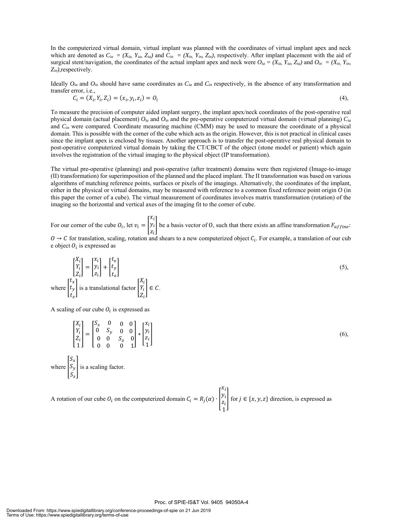In the computerized virtual domain, virtual implant was planned with the coordinates of virtual implant apex and neck which are denoted as  $C_{ia} = (X_{ia}, Y_{ia}, Z_{ia})$  and  $C_{in} = (X_{in}, Y_{in}, Z_{in})$ , respectively. After implant placement with the aid of surgical stent/navigation, the coordinates of the actual implant apex and neck were  $O_{ia} = (X_{ia}, Y_{ia}, Z_{ia})$  and  $O_{in} = (X_{in}, Y_{in}, Z_{in})$ *Zin)*,respectively.

Ideally *Oia* and *Oin* should have same coordinates as *Cia* and *Cin* respectively, in the absence of any transformation and transfer error, i.e.,

$$
C_i = (X_i, Y_i, Z_i) = (x_i, y_i, z_i) = 0_i
$$
\n(4),

To measure the precision of computer aided implant surgery, the implant apex/neck coordinates of the post-operative real physical domain (actual placement) *Oia* and *Oin* and the pre-operative computerized virtual domain (virtual planning) *Cia* and *Cin* were compared. Coordinate measuring machine (CMM) may be used to measure the coordinate of a physical domain. This is possible with the corner of the cube which acts as the origin. However, this is not practical in clinical cases since the implant apex is enclosed by tissues. Another approach is to transfer the post-operative real physical domain to post-operative computerized virtual domain by taking the CT/CBCT of the object (stone model or patient) which again involves the registration of the virtual imaging to the physical object (IP transformation).

The virtual pre-operative (planning) and post-operative (after treatment) domains were then registered (Image-to-image (II) transformation) for superimposition of the planned and the placed implant. The II transformation was based on various algorithms of matching reference points, surfaces or pixels of the imagings. Alternatively, the coordinates of the implant, either in the physical or virtual domains, may be measured with reference to a common fixed reference point origin *O* (in this paper the corner of a cube). The virtual measurement of coordinates involves matrix transformation (rotation) of the imaging so the horizontal and vertical axes of the imaging fit to the corner of cube.

For our corner of the cube  $O_i$ , let  $v_i = \begin{bmatrix} x_i \\ y_i \end{bmatrix}$  $z_i$ be a basis vector of O, such that there exists an affine transformation  $F_{affine}$ :

 $0 \to C$  for translation, scaling, rotation and shears to a new computerized object  $C_i$ . For example, a translation of our cub e object  $O_i$  is expressed as

$$
\begin{bmatrix} X_i \\ Y_i \\ Z_i \end{bmatrix} = \begin{bmatrix} x_i \\ y_i \\ z_i \end{bmatrix} + \begin{bmatrix} t_x \\ t_y \\ t_z \end{bmatrix}
$$
\nwhere 
$$
\begin{bmatrix} t_x \\ t_y \\ t_z \end{bmatrix}
$$
 is a translational factor 
$$
\begin{bmatrix} X_i \\ Y_i \\ Z_i \end{bmatrix} \in C.
$$
 (5),

A scaling of our cube  $O_i$  is expressed as

$$
\begin{bmatrix} X_i \\ Y_i \\ Z_i \\ 1 \end{bmatrix} = \begin{bmatrix} S_x & 0 & 0 & 0 \\ 0 & S_y & 0 & 0 \\ 0 & 0 & S_z & 0 \\ 0 & 0 & 0 & 1 \end{bmatrix} * \begin{bmatrix} x_i \\ y_i \\ z_i \\ 1 \end{bmatrix}
$$
\n(6),

\nwhere 
$$
\begin{bmatrix} S_x \\ S_y \\ S_z \end{bmatrix}
$$
 is a scaling factor.

A rotation of our cube  $O_i$  on the computerized domain  $C_i = R_j(\alpha) \cdot \begin{bmatrix} x_i \\ y_i \\ z_i \end{bmatrix}$  $z_i$ 1 for  $j \in \{x, y, z\}$  direction, is expressed as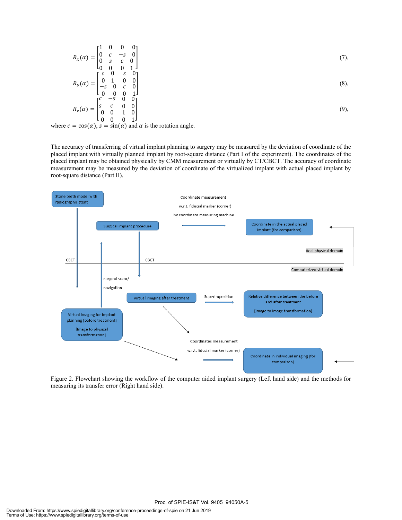$$
R_x(\alpha) = \begin{bmatrix} 1 & 0 & 0 & 0 \\ 0 & c & -s & 0 \\ 0 & s & c & 0 \\ 0 & 0 & 0 & 1 \end{bmatrix}
$$
  
\n
$$
R_y(\alpha) = \begin{bmatrix} c & 0 & s & 0 \\ 0 & 1 & 0 & 0 \\ -s & 0 & c & 0 \\ 0 & 0 & 0 & 1 \end{bmatrix}
$$
  
\n
$$
R_z(\alpha) = \begin{bmatrix} c & -s & 0 & 0 \\ s & c & 0 & 0 \\ 0 & 0 & 1 & 0 \\ 0 & 0 & 0 & 1 \end{bmatrix}
$$
 (9),

where  $c = \cos(\alpha)$ ,  $s = \sin(\alpha)$  and  $\alpha$  is the rotation angle.

The accuracy of transferring of virtual implant planning to surgery may be measured by the deviation of coordinate of the placed implant with virtually planned implant by root-square distance (Part I of the experiment). The coordinates of the placed implant may be obtained physically by CMM measurement or virtually by CT/CBCT. The accuracy of coordinate measurement may be measured by the deviation of coordinate of the virtualized implant with actual placed implant by root-square distance (Part II).



Figure 2. Flowchart showing the workflow of the computer aided implant surgery (Left hand side) and the methods for measuring its transfer error (Right hand side).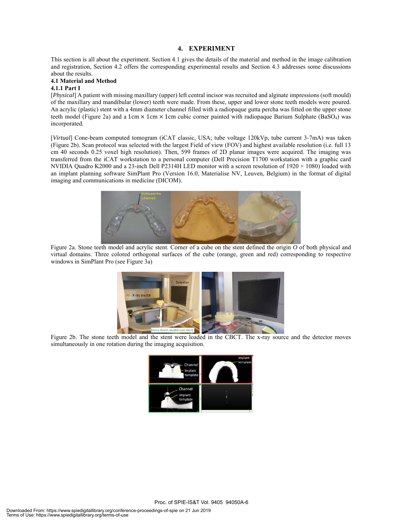#### **4. EXPERIMENT**

This section is all about the experiment. Section 4.1 gives the details of the material and method in the image calibration and registration, Section 4.2 offers the corresponding experimental results and Section 4.3 addresses some discussions about the results.

# **4.1 Material and Method**

#### **4.1.1 Part I**

[*Physical*] A patient with missing maxillary (upper) left central incisor was recruited and alginate impressions (soft mould) of the maxillary and mandibular (lower) teeth were made. From these, upper and lower stone teeth models were poured. An acrylic (plastic) stent with a 4mm diameter channel filled with a radiopaque gutta percha was fitted on the upper stone teeth model (Figure 2a) and a 1cm  $\times$  1cm  $\times$  1cm cubic corner painted with radiopaque Barium Sulphate (BaSO<sub>4</sub>) was incorporated.

[*Virtual*] Cone-beam computed tomogram (iCAT classic, USA; tube voltage 120kVp, tube current 3-7mA) was taken (Figure 2b). Scan protocol was selected with the largest Field of view (FOV) and highest available resolution (i.e. full 13 cm 40 seconds 0.25 voxel high resolution). Then, 599 frames of 2D planar images were acquired. The imaging was transferred from the iCAT workstation to a personal computer (Dell Precision T1700 workstation with a graphic card NVIDIA Quadro K2000 and a 23-inch Dell P2314H LED monitor with a screen resolution of 1920 × 1080) loaded with an implant planning software SimPlant Pro (Version 16.0, Materialise NV, Leuven, Belgium) in the format of digital imaging and communications in medicine (DICOM).



virtual domains. Three colored orthogonal surfaces of the cube (orange, green and red) corresponding to respective windows in SimPlant Pro (see Figure 3a)



Figure 2b. The stone teeth model and the stent were loaded in the CBCT. The x-ray source and the detector moves simultaneously in one rotation during the imaging acquisition.

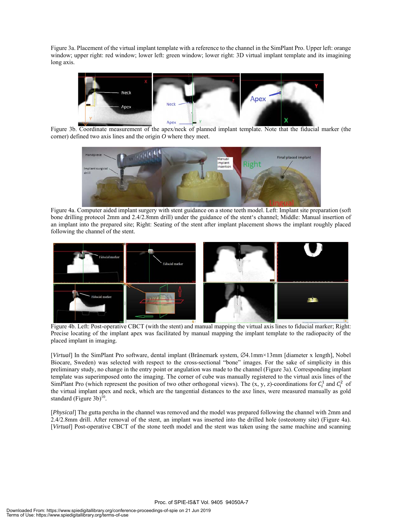Figure 3a. Placement of the virtual implant template with a reference to the channel in the SimPlant Pro. Upper left: orange window; upper right: red window; lower left: green window; lower right: 3D virtual implant template and its imagining long axis.



Figure 3b. Coordinate measurement of the apex/neck of planned implant template. Note that the fiducial marker (the corner) defined two axis lines and the origin *O* where they meet.



Figure 4a. Computer aided implant surgery with stent guidance on a stone teeth model. Left: Implant site preparation (soft bone drilling protocol 2mm and 2.4/2.8mm drill) under the guidance of the stent's channel; Middle: Manual insertion of an implant into the prepared site; Right: Seating of the stent after implant placement shows the implant roughly placed following the channel of the stent.



 Figure 4b. Left: Post-operative CBCT (with the stent) and manual mapping the virtual axis lines to fiducial marker; Right: Precise locating of the implant apex was facilitated by manual mapping the implant template to the radiopacity of the placed implant in imaging.

[*Virtual*] In the SimPlant Pro software, dental implant (Brånemark system, ∅4.1mm×13mm [diameter x length], Nobel Biocare, Sweden) was selected with respect to the cross-sectional "bone" images. For the sake of simplicity in this preliminary study, no change in the entry point or angulation was made to the channel (Figure 3a). Corresponding implant template was superimposed onto the imaging. The corner of cube was manually registered to the virtual axis lines of the SimPlant Pro (which represent the position of two other orthogonal views). The  $(x, y, z)$ -coordinations for  $C_i^1$  and  $C_i^2$  of the virtual implant apex and neck, which are the tangential distances to the axe lines, were measured manually as gold standard (Figure 3b)<sup>10</sup>.

[*Physical*] The gutta percha in the channel was removed and the model was prepared following the channel with 2mm and 2.4/2.8mm drill. After removal of the stent, an implant was inserted into the drilled hole (osteotomy site) (Figure 4a). [*Virtual*] Post-operative CBCT of the stone teeth model and the stent was taken using the same machine and scanning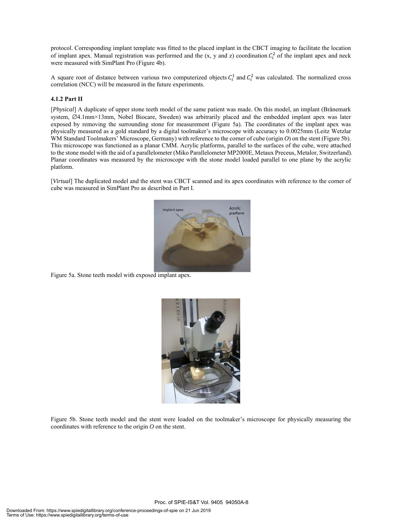protocol. Corresponding implant template was fitted to the placed implant in the CBCT imaging to facilitate the location of implant apex. Manual registration was performed and the  $(x, y$  and z) coordination  $C_i^2$  of the implant apex and neck were measured with SimPlant Pro (Figure 4b).

A square root of distance between various two computerized objects  $C_i^1$  and  $C_i^2$  was calculated. The normalized cross correlation (NCC) will be measured in the future experiments.

#### **4.1.2 Part II**

[*Physical*] A duplicate of upper stone teeth model of the same patient was made. On this model, an implant (Brånemark system, Ø4.1mm×13mm, Nobel Biocare, Sweden) was arbitrarily placed and the embedded implant apex was later exposed by removing the surrounding stone for measurement (Figure 5a). The coordinates of the implant apex was physically measured as a gold standard by a digital toolmaker's microscope with accuracy to 0.0025mm (Leitz Wetzlar WM Standard Toolmakers' Microscope, Germany) with reference to the corner of cube (origin *O*) on the stent (Figure 5b). This microscope was functioned as a planar CMM. Acrylic platforms, parallel to the surfaces of the cube, were attached to the stone model with the aid of a parallelometer (Miko Parallelometer MP2000E, Metaux Preceus, Metalor, Switzerland). Planar coordinates was measured by the microscope with the stone model loaded parallel to one plane by the acrylic platform.

[*Virtual*] The duplicated model and the stent was CBCT scanned and its apex coordinates with reference to the corner of cube was measured in SimPlant Pro as described in Part I.



Figure 5a. Stone teeth model with exposed implant apex.



Figure 5b. Stone teeth model and the stent were loaded on the toolmaker's microscope for physically measuring the coordinates with reference to the origin *O* on the stent.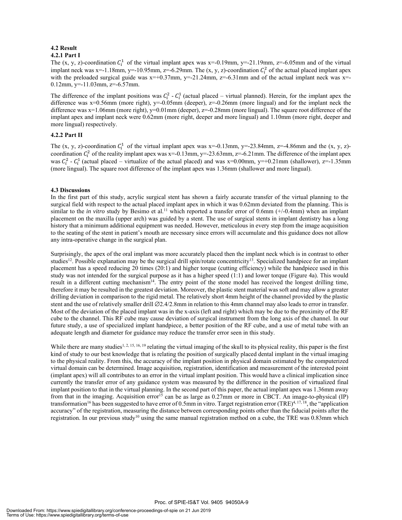#### **4.2 Result 4.2.1 Part I**

The (x, y, z)-coordination  $C_i^1$  of the virtual implant apex was x=-0.19mm, y=-21.19mm, z=-6.05mm and of the virtual implant neck was x=-1.18mm, y=-10.95mm, z=-6.29mm. The  $(x, y, z)$ -coordination  $C_i^2$  of the actual placed implant apex with the preloaded surgical guide was  $x=+0.37$ mm,  $y=-21.24$ mm,  $z=-6.31$ mm and of the actual implant neck was  $x=$ 0.12mm, y=-11.03mm, z=-6.57mm.

The difference of the implant positions was  $C_i^2$  -  $C_i^1$  (actual placed – virtual planned). Herein, for the implant apex the difference was x=0.56mm (more right), y=-0.05mm (deeper), z=-0.26mm (more lingual) and for the implant neck the difference was  $x=1.06$ mm (more right),  $y=0.01$ mm (deeper),  $z=-0.28$ mm (more lingual). The square root difference of the implant apex and implant neck were 0.62mm (more right, deeper and more lingual) and 1.10mm (more right, deeper and more lingual) respectively.

#### **4.2.2 Part II**

The (x, y, z)-coordination  $C_i^1$  of the virtual implant apex was x=-0.13mm, y=-23.84mm, z=-4.86mm and the (x, y, z)coordination  $C_i^2$  of the reality implant apex was x=-0.13mm, y=-23.63mm, z=-6.21mm. The difference of the implant apex was  $C_i^2$  -  $C_i^1$  (actual placed – virtualize of the actual placed) and was x=0.00mm, y=+0.21mm (shallower), z=-1.35mm (more lingual). The square root difference of the implant apex was 1.36mm (shallower and more lingual).

#### **4.3 Discussions**

In the first part of this study, acrylic surgical stent has shown a fairly accurate transfer of the virtual planning to the surgical field with respect to the actual placed implant apex in which it was 0.62mm deviated from the planning. This is similar to the *in vitro* study by Besimo et al.<sup>11</sup> which reported a transfer error of 0.6mm  $(+/-0.4$ mm) when an implant placement on the maxilla (upper arch) was guided by a stent. The use of surgical stents in implant dentistry has a long history that a minimum additional equipment was needed. However, meticulous in every step from the image acquisition to the seating of the stent in patient's mouth are necessary since errors will accumulate and this guidance does not allow any intra-operative change in the surgical plan.

Surprisingly, the apex of the oral implant was more accurately placed then the implant neck which is in contrast to other studies<sup>12</sup>. Possible explanation may be the surgical drill spin/rotate concentricity<sup>13</sup>. Specialized handpiece for an implant placement has a speed reducing 20 times (20:1) and higher torque (cutting efficiency) while the handpiece used in this study was not intended for the surgical purpose as it has a higher speed (1:1) and lower torque (Figure 4a). This would result in a different cutting mechanism<sup>14</sup>. The entry point of the stone model has received the longest drilling time, therefore it may be resulted in the greatest deviation. Moreover, the plastic stent material was soft and may allow a greater drilling deviation in comparison to the rigid metal. The relatively short 4mm height of the channel provided by the plastic stent and the use of relatively smaller drill ∅2.4/2.8mm in relation to this 4mm channel may also leads to error in transfer. Most of the deviation of the placed implant was in the x-axis (left and right) which may be due to the proximity of the RF cube to the channel. This RF cube may cause deviation of surgical instrument from the long axis of the channel. In our future study, a use of specialized implant handpiece, a better position of the RF cube, and a use of metal tube with an adequate length and diameter for guidance may reduce the transfer error seen in this study.

While there are many studies<sup>1, 2, 15, 16, 19</sup> relating the virtual imaging of the skull to its physical reality, this paper is the first kind of study to our best knowledge that is relating the position of surgically placed dental implant in the virtual imaging to the physical reality. From this, the accuracy of the implant position in physical domain estimated by the computerized virtual domain can be determined. Image acquisition, registration, identification and measurement of the interested point (implant apex) will all contributes to an error in the virtual implant position. This would have a clinical implication since currently the transfer error of any guidance system was measured by the difference in the position of virtualized final implant position to that in the virtual planning. In the second part of this paper, the actual implant apex was 1.36mm away from that in the imaging. Acquisition error<sup>15</sup> can be as large as 0.27mm or more in CBCT. An image-to-physical (IP) transformation<sup>16</sup> has been suggested to have error of 0.5mm in vitro. Target registration error (TRE)<sup>4, 17, 18</sup>, the "application accuracy" of the registration, measuring the distance between corresponding points other than the fiducial points after the registration. In our previous study<sup>10</sup> using the same manual registration method on a cube, the TRE was 0.83mm which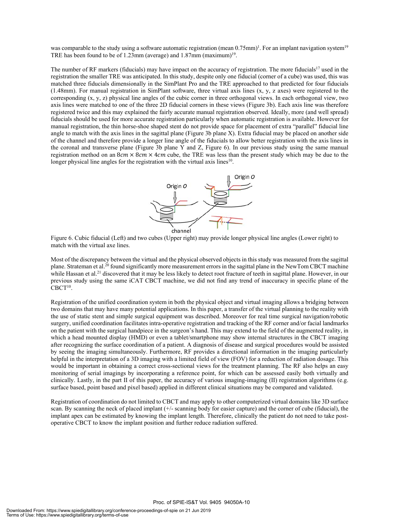was comparable to the study using a software automatic registration (mean  $(0.75 \text{mm})^1$ ). For an implant navigation system<sup>19</sup> TRE has been found to be of 1.23mm (average) and  $1.87$ mm (maximum)<sup>19</sup>.

The number of RF markers (fiducials) may have impact on the accuracy of registration. The more fiducials<sup>17</sup> used in the registration the smaller TRE was anticipated. In this study, despite only one fiducial (corner of a cube) was used, this was matched three fiducials dimensionally in the SimPlant Pro and the TRE approached to that predicted for four fiducials (1.48mm). For manual registration in SimPlant software, three virtual axis lines (x, y, z axes) were registered to the corresponding (x, y, z) physical line angles of the cubic corner in three orthogonal views. In each orthogonal view, two axis lines were matched to one of the three 2D fiducial corners in these views (Figure 3b). Each axis line was therefore registered twice and this may explained the fairly accurate manual registration observed. Ideally, more (and well spread) fiducials should be used for more accurate registration particularly when automatic registration is available. However for manual registration, the thin horse-shoe shaped stent do not provide space for placement of extra "parallel" fiducial line angle to match with the axis lines in the sagittal plane (Figure 3b plane X). Extra fiducial may be placed on another side of the channel and therefore provide a longer line angle of the fiducials to allow better registration with the axis lines in the coronal and transverse plane (Figure 3b plane Y and Z, Figure 6). In our previous study using the same manual registration method on an  $8cm \times 8cm \times 4cm$  cube, the TRE was less than the present study which may be due to the longer physical line angles for the registration with the virtual axis lines<sup>10</sup>.



Figure 6. Cubic fiducial (Left) and two cubes (Upper right) may provide longer physical line angles (Lower right) to match with the virtual axe lines.

Most of the discrepancy between the virtual and the physical observed objects in this study was measured from the sagittal plane. Strateman et al.<sup>20</sup> found significantly more measurement errors in the sagittal plane in the NewTom CBCT machine while Hassan et al.<sup>21</sup> discovered that it may be less likely to detect root fracture of teeth in sagittal plane. However, in our previous study using the same iCAT CBCT machine, we did not find any trend of inaccuracy in specific plane of the  $CBCT<sup>10</sup>$ .

Registration of the unified coordination system in both the physical object and virtual imaging allows a bridging between two domains that may have many potential applications. In this paper, a transfer of the virtual planning to the reality with the use of static stent and simple surgical equipment was described. Moreover for real time surgical navigation/robotic surgery, unified coordination facilitates intra-operative registration and tracking of the RF corner and/or facial landmarks on the patient with the surgical handpiece in the surgeon's hand. This may extend to the field of the augmented reality, in which a head mounted display (HMD) or even a tablet/smartphone may show internal structures in the CBCT imaging after recognizing the surface coordination of a patient. A diagnosis of disease and surgical procedures would be assisted by seeing the imaging simultaneously. Furthermore, RF provides a directional information in the imaging particularly helpful in the interpretation of a 3D imaging with a limited field of view (FOV) for a reduction of radiation dosage. This would be important in obtaining a correct cross-sectional views for the treatment planning. The RF also helps an easy monitoring of serial imagings by incorporating a reference point, for which can be assessed easily both virtually and clinically. Lastly, in the part II of this paper, the accuracy of various imaging-imaging (II) registration algorithms (e.g. surface based, point based and pixel based) applied in different clinical situations may be compared and validated.

Registration of coordination do not limited to CBCT and may apply to other computerized virtual domains like 3D surface scan. By scanning the neck of placed implant (+/- scanning body for easier capture) and the corner of cube (fiducial), the implant apex can be estimated by knowing the implant length. Therefore, clinically the patient do not need to take postoperative CBCT to know the implant position and further reduce radiation suffered.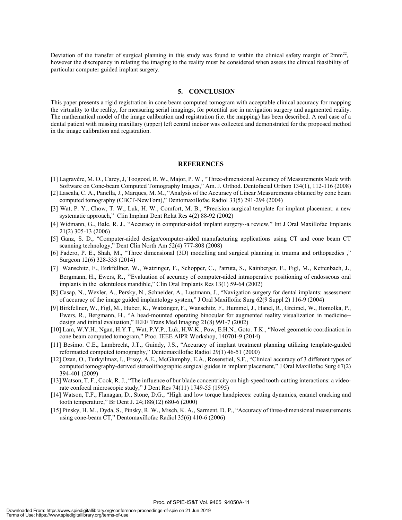Deviation of the transfer of surgical planning in this study was found to within the clinical safety margin of  $2mm^{22}$ . however the discrepancy in relating the imaging to the reality must be considered when assess the clinical feasibility of particular computer guided implant surgery.

#### **5. CONCLUSION**

This paper presents a rigid registration in cone beam computed tomogram with acceptable clinical accuracy for mapping the virtuality to the reality, for measuring serial imagings, for potential use in navigation surgery and augmented reality. The mathematical model of the image calibration and registration (i.e. the mapping) has been described. A real case of a dental patient with missing maxillary (upper) left central incisor was collected and demonstrated for the proposed method in the image calibration and registration.

#### **REFERENCES**

- [1] Lagravère, M. O., Carey, J, Toogood, R. W., Major, P. W., "Three-dimensional Accuracy of Measurements Made with Software on Cone-beam Computed Tomography Images," Am. J. Orthod. Dentofacial Orthop 134(1), 112-116 (2008)
- [2] Lascala, C. A., Panella, J., Marques, M. M., "Analysis of the Accuracy of Linear Measurements obtained by cone beam computed tomography (CBCT-NewTom)," Dentomaxillofac Radiol 33(5) 291-294 (2004)
- [3] Wat, P. Y., Chow, T. W., Luk, H. W., Comfort, M. B., "Precision surgical template for implant placement: a new systematic approach," Clin Implant Dent Relat Res 4(2) 88-92 (2002)
- [4] Widmann, G., Bale, R. J., "Accuracy in computer-aided implant surgery--a review," Int J Oral Maxillofac Implants 21(2) 305-13 (2006)
- [5] Ganz, S. D., "Computer-aided design/computer-aided manufacturing applications using CT and cone beam CT scanning technology," Dent Clin North Am 52(4) 777-808 (2008)
- [6] Fadero, P. E., Shah, M., "Three dimensional (3D) modelling and surgical planning in trauma and orthopaedics ," Surgeon 12(6) 328-333 (2014)
- [7] Wanschitz, F., Birkfellner, W., Watzinger, F., Schopper, C., Patruta, S., Kainberger, F., Figl, M., Kettenbach, J., Bergmann, H., Ewers, R., "Evaluation of accuracy of computer-aided intraoperative positioning of endosseous oral implants in the edentulous mandible," Clin Oral Implants Res 13(1) 59-64 (2002)
- [8] Casap, N., Wexler, A., Persky, N., Schneider, A., Lustmann, J., "Navigation surgery for dental implants: assessment of accuracy of the image guided implantology system," J Oral Maxillofac Surg 62(9 Suppl 2) 116-9 (2004)
- [9] Birkfellner, W., Figl, M., Huber, K., Watzinger, F., Wanschitz, F., Hummel, J., Hanel, R., Greimel, W., Homolka, P., Ewers, R., Bergmann, H., "A head-mounted operating binocular for augmented reality visualization in medicine- design and initial evaluation," IEEE Trans Med Imaging 21(8) 991-7 (2002)
- [10] Lam, W.Y.H., Ngan, H.Y.T., Wat, P.Y.P., Luk, H.W.K., Pow, E.H.N., Goto. T.K., "Novel geometric coordination in cone beam computed tomogram," Proc. IEEE AIPR Workshop, 140701-9 (2014)
- [11] Besimo. C.E., Lambrecht, J.T., Guindy, J.S., "Accuracy of implant treatment planning utilizing template-guided reformatted computed tomography," Dentomaxillofac Radiol 29(1) 46-51 (2000)
- [12] Ozan, O., Turkyilmaz, I., Ersoy, A.E., McGlumphy, E.A., Rosenstiel, S.F., "Clinical accuracy of 3 different types of computed tomography-derived stereolithographic surgical guides in implant placement," J Oral Maxillofac Surg 67(2) 394-401 (2009)
- [13] Watson, T. F., Cook, R. J., "The influence of bur blade concentricity on high-speed tooth-cutting interactions: a videorate confocal microscopic study," J Dent Res 74(11) 1749-55 (1995)
- [14] Watson, T.F., Flanagan, D., Stone, D.G., "High and low torque handpieces: cutting dynamics, enamel cracking and tooth temperature," Br Dent J. 24;188(12) 680-6 (2000)
- [15] Pinsky, H. M., Dyda, S., Pinsky, R. W., Misch, K. A., Sarment, D. P., "Accuracy of three-dimensional measurements using cone-beam CT," Dentomaxillofac Radiol 35(6) 410-6 (2006)